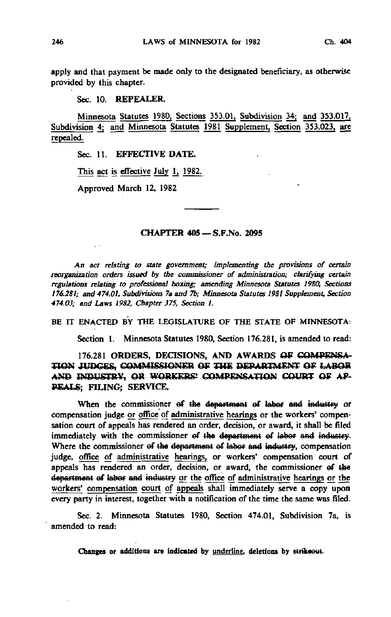apply and that payment be made only to the designated beneficiary, as otherwise provided by this chapter.

## Sec. 10. REPEALER.

Minnesota Statutes 1980, Sections 353.01, Subdivision 34; and 353.017, Subdivision 4; and Minnesota Statutes 1981 Supplement, Section 353.023, are repealed.

Sec. 11. EFFECTIVE DATE.

This act is effective July 1, 1982.

Approved March 12, 1982

### CHAPTER 405 —S.F.No. 2095

An act relating to state government; implementing the provisions of certain reorganization orders issued by the commissioner of administration; clarifying certain regulations relating to professional boxing; amending Minnesota Statutes 1980, Sections 176.281; and 474.01, Subdivisions 7a and 7b; Minnesota Statutes 1981 Supplement, Section 474.03; and Laws 1982, Chapter 375, Section I.

### BE IT ENACTED BY THE LEGISLATURE OF THE STATE OF MINNESOTA:

Section 1. Minnesota Statutes 1980, Section 176.281, is amended to read:

# 176.281 ORDERS, DECISIONS, AND AWARDS OF COMPENSA-TION JUDGES, COMMISSIONER OF THE DEPARTMENT OF LABOR AND INDUSTRY, OR WORKERS' COMPENSATION COURT OF AP-PEALS; FILING; SERVICE.

When the commissioner of the department of labor and industry or compensation judge or office of administrative hearings or the workers' compensation court of appeals has rendered an order, decision, or award, it shall be filed immediately with the commissioner ef the department ef labor and industry. Where the commissioner of the department of labor and industry, compensation judge, office of administrative hearings, or workers' compensation court of appeals has rendered an order, decision, or award, the commissioner ef the department of labor and industry or the office of administrative hearings or the workers' compensation court of appeals shall immediately serve a copy upon every party in interest, together with a notification of the time the same was filed.

Sec. 2. Minnesota Statutes 1980, Section 474.01, Subdivision 7a, is amended to read: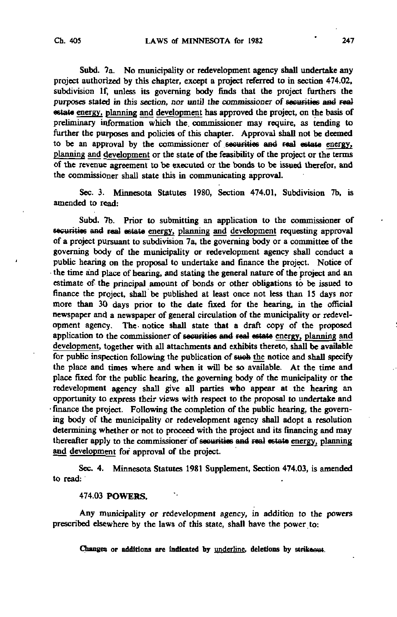Subd. 7a. No municipality or redevelopment agency shall undertake any project authorized by this chapter, except a project referred to in section 474.02, subdivision If, unless its governing body finds that the project furthers the purposes stated in this section, nor until the commissioner of securities and real estate energy, planning and development has approved the project, on the basis of preliminary information which the. commissioner may require, as tending to further the purposes and policies of this chapter. Approval shall not be deemed to be an approval by the commissioner of securities aad real estate energy, planning and development or the state of the feasibility of the project or the terms of the revenue agreement to be executed or the bonds to be issued therefor, and the commissioner shall state this in communicating approval.

Sec. 3. Minnesota Statutes 1980, Section 474.01, Subdivision 7b, is amended to read:

Subd. 7b. Prior to submitting an application to the commissioner of securities and real estate energy, planning and development requesting approval of a project pursuant to subdivision 7a, the governing body or a committee of the governing body of the municipality or redevelopment agency shall conduct a public hearing on the proposal to undertake and finance the project. Notice of the time and place of hearing, and stating the general nature of the project and an estimate of the principal amount of bonds or other obligations to be issued to finance the project, shall be published at least once not less than 15 days nor more than 30 days prior to the date fixed for the hearing, in the official newspaper and a newspaper of general circulation of the municipality or redevelopment agency. The notice shall state that a draft copy of the proposed application to the commissioner of securities and real estate energy, planning and development, together with all attachments and exhibits thereto, shall be available for public inspection following the publication of sueb the notice and shall specify the place and times where and when it will be so available. At the time and place fixed for the public hearing, the governing body of the municipality or the redevelopment agency shall give all parties who appear at the hearing an opportunity to express their views with respect to the proposal to undertake and • finance the project. Following the completion of the public hearing, the governing body of the municipality or redevelopment agency shall adopt a resolution determining whether or not to proceed with the project and its financing and may thereafter apply to the commissioner'of securities and real estate energy, planning and development for approval of the project.

Sec. 4. Minnesota Statutes 1981 Supplement, Section 474.03, is amended to read:

### 474.03 POWERS.

Any municipality or redevelopment agency, in addition to the powers prescribed elsewhere by the laws of this state, shall have the power to: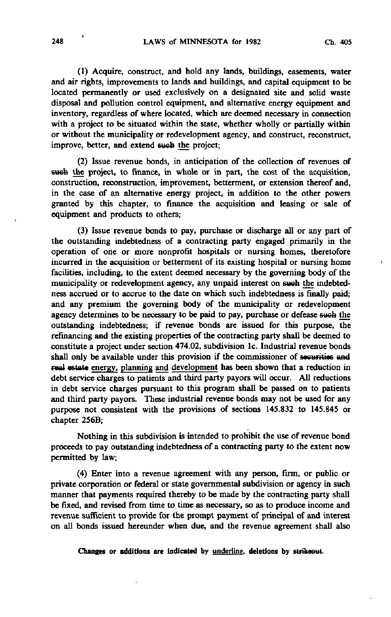(1) Acquire, construct, and hold any lands, buildings, easements, water and air rights, improvements to lands and buildings, and capital equipment to be located permanently or used exclusively on a designated site and solid waste disposal and pollution control equipment, and alternative energy equipment and inventory, regardless of where located, which are deemed necessary in connection with a project to be situated within the state, whether wholly or partially within or without the municipality or redevelopment agency, and construct, reconstruct, improve, better, and extend sweb the project;

(2) Issue revenue bonds, in anticipation of the collection of revenues of such the project, to finance, in whole or in part, the cost of the acquisition, construction, reconstruction, improvement, betterment, or extension thereof and, in the case of an alternative energy project, in addition to the other powers granted by this chapter, to finance the acquisition and leasing or sale of equipment and products to others;

(3) Issue revenue bonds to pay, purchase or discharge all or any part of the outstanding indebtedness of a contracting party engaged primarily in the operation of one or more nonprofit hospitals or nursing homes, theretofore incurred in the acquisition or betterment of its existing hospital or nursing home facilities, including, to the extent deemed necessary by the governing body of the municipality or redevelopment agency, any unpaid interest on sueb the indebtedness accrued or to accrue to the date on which such indebtedness is finally paid; and any premium the governing body of the municipality or redevelopment agency determines to be necessary to be paid to pay, purchase or defease such the outstanding indebtedness; if revenue bonds are issued for this purpose, the refinancing and the existing properties of the contracting party shall be deemed to constitute a project under section 474.02, subdivision Ic. Industrial revenue bonds shall only be available under this provision if the commissioner of securities and real estate energy, planning and development has been shown that a reduction in debt service charges to patients and third party payers will occur. All reductions in debt service charges pursuant to this program shall be passed on to patients and third party payors. These industrial revenue bonds may not be used for any purpose not consistent with the provisions of sections 145.832 to 145.845 or chapter 256B;

Nothing in this subdivision is intended to prohibit the use of revenue bond proceeds to pay outstanding indebtedness of a contracting party to the extent now permitted by law;

(4) Enter into a revenue agreement with any person, firm, or public or private corporation or federal or state governmental subdivision or agency in such manner that payments required thereby to be made by the contracting party shall be fixed, and revised from time to time as necessary, so as to produce income and revenue sufficient to provide for the prompt payment of principal of and interest on all bonds issued hereunder when due, and the revenue agreement shall also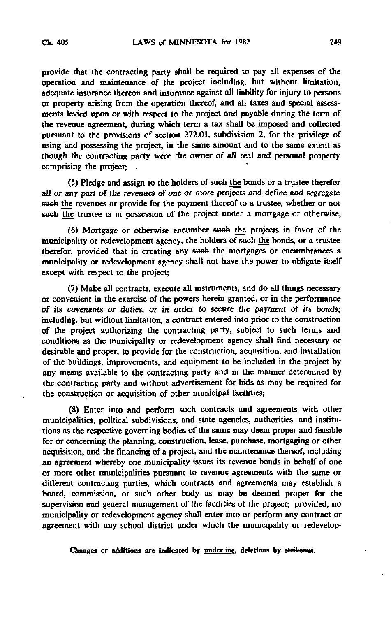provide that the contracting party shall be required to pay all expenses of the operation and maintenance of the project including, but without limitation, adequate insurance thereon and insurance against all liability for injury to persons or property arising from the operation thereof, and all taxes and special assessments levied upon or with respect to the project and payable during the term of the revenue agreement, during which term a tax shall be imposed and collected pursuant to the provisions of section 272.01, subdivision 2, for the privilege of using and possessing the project, in the same amount and to the same extent as though the contracting party were the owner of alt real and personal property comprising the project;

(5) Pledge and assign to the holders of sweb the bonds or a trustee therefor aU or any part of the revenues of one or more projects and define and segregate such the revenues or provide for the payment thereof to a trustee, whether or not such the trustee is in possession of the project under a mortgage or otherwise;

(6) Mortgage or otherwise encumber sweh the projects in favor of the municipality or redevelopment agency, the holders of sueh the bonds, or a trustee therefor, provided that in creating any such the mortgages or encumbrances a municipality or redevelopment agency shall not have the power to obligate itself except with respect to the project;

(7) Make all contracts, execute all instruments, and do all things necessary or convenient in the exercise of the powers herein granted, or in the performance of its covenants or duties, or in order to secure the payment of its bonds; including, but without limitation, a contract entered into prior to the construction of the project authorizing the contracting party, subject to such terms and conditions as the municipality or redevelopment agency shall find necessary or desirable and proper, to provide for the construction, acquisition, and installation of the buildings, improvements, and equipment to be included in the project by any means available to the contracting party and in the manner determined by the contracting party and without advertisement for bids as may be required for the construction or acquisition of other municipal facilities;

(8) Enter into and perform such contracts and agreements with other municipalities, political subdivisions, and state agencies, authorities, and institutions as the respective governing bodies of the same may deem proper and feasible for or concerning the planning, construction, lease, purchase, mortgaging or other acquisition, and the financing of a project, and the maintenance thereof, including an agreement whereby one municipality issues its revenue bonds in behalf of one or more other municipalities pursuant to revenue agreements with the same or different contracting parties, which contracts and agreements may establish a board, commission, or such other body as may be deemed proper for the supervision and general management of the facilities of the project; provided, no municipality or redevelopment agency shall enter into or perform any contract or agreement with any school district under which the municipality or redevelop-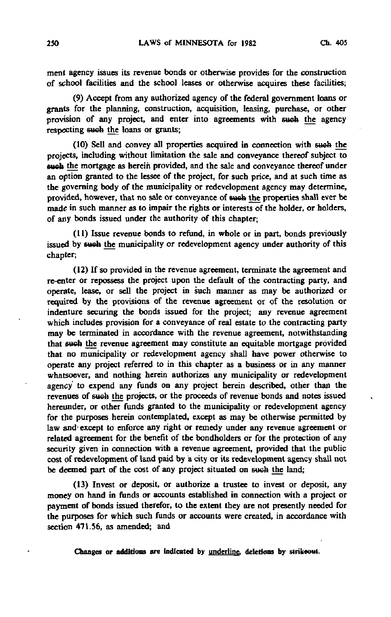ment agency issues its revenue bonds or otherwise provides for the construction of school facilities and the school leases or otherwise acquires these facilities;

(9) Accept from any authorized agency of the federal government loans or grants for the planning, construction, acquisition, leasing, purchase, or other provision of any project, and enter into agreements with such the agency respecting such the loans or grants;

(10) Sell and convey all properties acquired in connection with eueb the projects, including without limitation the sale and conveyance thereof subject to such the mortgage as herein provided, and the sale and conveyance thereof under an option granted to the lessee of the project, for such price, and at such time as the governing body of the municipality or redevelopment agency may determine, provided, however, that no sale or conveyance of such the properties shall ever be made in such manner as to impair the rights or interests of the holder, or holders, of any bonds issued under the authority of this chapter;

(11) Issue revenue bonds to refund, in whole or in part, bonds previously issued by such the municipality or redevelopment agency under authority of this chapter;

(12) If so provided in the revenue agreement, terminate the agreement and re-enter or repossess the project upon the default of the contracting party, and operate, lease, or sell the project in such manner as may be authorized or required by the provisions of the revenue agreement or of the resolution or indenture securing the bonds issued for the project; any revenue agreement which includes provision for a conveyance of real estate to the contracting party may be terminated in accordance with the revenue agreement, notwithstanding that such the revenue agreement may constitute an equitable mortgage provided that no municipality or redevelopment agency shall have power otherwise to operate any project referred to in this chapter as a business or in any manner whatsoever, and nothing herein authorizes any municipality or redevelopment agency to expend any funds on any project herein described, other than the revenues of eueb the projects, or the proceeds of revenue bonds and notes issued hereunder, or other funds granted to the municipality or redevelopment agency for the purposes herein contemplated, except as may be otherwise permitted by law and-except to enforce any right or remedy under any revenue agreement or related agreement for the benefit of the bondholders or for the protection of any security given in connection with a revenue agreement, provided that the public cost of redevelopment of land paid by a city or its redevelopment agency shall not be deemed part of the cost of any project situated on such the land;

(13) Invest or deposit, or authorize a trustee to invest or deposit, any money on hand in funds or accounts established in connection with a project or payment of bonds issued therefor, to the extent they are not presently needed for the purposes for which such funds or accounts were created, in accordance with section 471.56, as amended; and